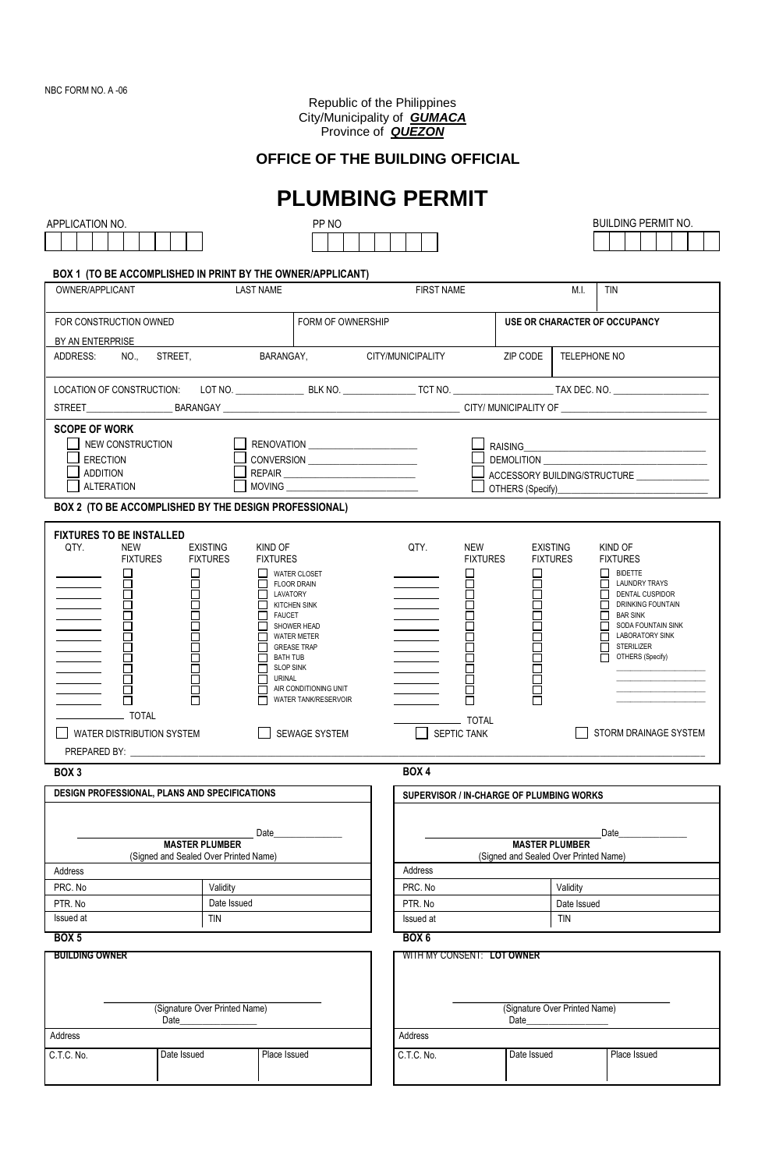Republic of the Philippines City/Municipality of *GUMACA* Province of *QUEZON*

### **OFFICE OF THE BUILDING OFFICIAL**

|                                                                                                                                                                                                                                                                                                                                         |                                                                |                                                                                | <b>PLUMBING PERMIT</b> |                                                                |                                                                    |                                                   |  |  |  |
|-----------------------------------------------------------------------------------------------------------------------------------------------------------------------------------------------------------------------------------------------------------------------------------------------------------------------------------------|----------------------------------------------------------------|--------------------------------------------------------------------------------|------------------------|----------------------------------------------------------------|--------------------------------------------------------------------|---------------------------------------------------|--|--|--|
| APPLICATION NO.                                                                                                                                                                                                                                                                                                                         |                                                                | PP NO                                                                          |                        |                                                                |                                                                    | <b>BUILDING PERMIT NO.</b>                        |  |  |  |
|                                                                                                                                                                                                                                                                                                                                         |                                                                |                                                                                |                        |                                                                |                                                                    |                                                   |  |  |  |
|                                                                                                                                                                                                                                                                                                                                         |                                                                |                                                                                |                        |                                                                |                                                                    |                                                   |  |  |  |
| OWNER/APPLICANT                                                                                                                                                                                                                                                                                                                         |                                                                | BOX 1 (TO BE ACCOMPLISHED IN PRINT BY THE OWNER/APPLICANT)<br><b>LAST NAME</b> | <b>FIRST NAME</b>      |                                                                | M.I.                                                               | <b>TIN</b>                                        |  |  |  |
|                                                                                                                                                                                                                                                                                                                                         |                                                                |                                                                                |                        |                                                                |                                                                    |                                                   |  |  |  |
| FOR CONSTRUCTION OWNED                                                                                                                                                                                                                                                                                                                  |                                                                | FORM OF OWNERSHIP                                                              |                        |                                                                | USE OR CHARACTER OF OCCUPANCY                                      |                                                   |  |  |  |
| BY AN ENTERPRISE                                                                                                                                                                                                                                                                                                                        |                                                                |                                                                                |                        |                                                                |                                                                    |                                                   |  |  |  |
| ADDRESS:<br>NO.,                                                                                                                                                                                                                                                                                                                        | STREET,                                                        | BARANGAY, CITY/MUNICIPALITY                                                    |                        | ZIP CODE                                                       | TELEPHONE NO                                                       |                                                   |  |  |  |
|                                                                                                                                                                                                                                                                                                                                         |                                                                |                                                                                |                        |                                                                |                                                                    |                                                   |  |  |  |
|                                                                                                                                                                                                                                                                                                                                         |                                                                |                                                                                |                        |                                                                |                                                                    |                                                   |  |  |  |
| <b>SCOPE OF WORK</b>                                                                                                                                                                                                                                                                                                                    |                                                                |                                                                                |                        |                                                                |                                                                    |                                                   |  |  |  |
| NEW CONSTRUCTION                                                                                                                                                                                                                                                                                                                        |                                                                |                                                                                |                        | RAISING                                                        |                                                                    |                                                   |  |  |  |
| <b>ERECTION</b>                                                                                                                                                                                                                                                                                                                         |                                                                | CONVERSION                                                                     |                        |                                                                |                                                                    |                                                   |  |  |  |
| <b>ADDITION</b><br><b>ALTERATION</b>                                                                                                                                                                                                                                                                                                    |                                                                |                                                                                |                        |                                                                | ACCESSORY BUILDING/STRUCTURE _________________<br>OTHERS (Specify) |                                                   |  |  |  |
| BOX 2 (TO BE ACCOMPLISHED BY THE DESIGN PROFESSIONAL)                                                                                                                                                                                                                                                                                   |                                                                |                                                                                |                        |                                                                |                                                                    |                                                   |  |  |  |
|                                                                                                                                                                                                                                                                                                                                         |                                                                |                                                                                |                        |                                                                |                                                                    |                                                   |  |  |  |
| <b>FIXTURES TO BE INSTALLED</b><br>QTY.<br><b>NEW</b>                                                                                                                                                                                                                                                                                   | <b>EXISTING</b>                                                | KIND OF                                                                        | QTY.                   | <b>NEW</b>                                                     | <b>EXISTING</b>                                                    | KIND OF                                           |  |  |  |
| <b>FIXTURES</b>                                                                                                                                                                                                                                                                                                                         | <b>FIXTURES</b>                                                | <b>FIXTURES</b>                                                                |                        | <b>FIXTURES</b>                                                | <b>FIXTURES</b>                                                    | <b>FIXTURES</b>                                   |  |  |  |
| $\Box$                                                                                                                                                                                                                                                                                                                                  | п                                                              | <b>WATER CLOSET</b>                                                            |                        | $\Box$                                                         | П                                                                  | BIDETTE<br>$\Box$ LAUNDRY TRAYS                   |  |  |  |
| <b>Contract Contract</b><br>$\begin{tabular}{ c c c c } \hline \quad \quad & \quad \quad & \quad \quad \\ \hline \quad \quad & \quad \quad & \quad \quad \\ \hline \quad \quad & \quad \quad & \quad \quad \\ \hline \quad \quad & \quad \quad & \quad \quad \\ \hline \quad \quad & \quad \quad & \quad \quad \\ \hline \end{tabular}$ | $\Box$                                                         | <b>FLOOR DRAIN</b><br>LAVATORY                                                 |                        |                                                                |                                                                    | DENTAL CUSPIDOR                                   |  |  |  |
| Ō<br>$\overline{\phantom{a}}$                                                                                                                                                                                                                                                                                                           |                                                                | П.<br><b>KITCHEN SINK</b><br>П<br><b>FAUCET</b>                                | <u> 1999 - Jan Ja</u>  | 88 P P P                                                       |                                                                    | <b>NUMBER OF STREET STREET</b><br><b>BAR SINK</b> |  |  |  |
| $\overline{\phantom{a}}$                                                                                                                                                                                                                                                                                                                |                                                                | SHOWER HEAD                                                                    |                        |                                                                |                                                                    | SODA FOUNTAIN SINK<br><b>LABORATORY SINK</b>      |  |  |  |
|                                                                                                                                                                                                                                                                                                                                         |                                                                | <b>WATER METER</b><br><b>GREASE TRAP</b>                                       |                        | 1001<br>100                                                    |                                                                    | $\Box$ Sterilizer                                 |  |  |  |
| <u> Liberatura de la p</u><br>2<br>2<br>2<br><u> a shekara ta 199</u>                                                                                                                                                                                                                                                                   | П                                                              | <b>BATH TUB</b><br><b>SLOP SINK</b><br>П                                       |                        |                                                                |                                                                    | П<br>OTHERS (Specify)                             |  |  |  |
| <u> 1999 - Jan Jan Jawa</u>                                                                                                                                                                                                                                                                                                             |                                                                | URINAL                                                                         |                        | П                                                              |                                                                    |                                                   |  |  |  |
|                                                                                                                                                                                                                                                                                                                                         |                                                                | AIR CONDITIONING UNIT<br>WATER TANK/RESERVOIR                                  |                        |                                                                |                                                                    |                                                   |  |  |  |
| _ TOTAL                                                                                                                                                                                                                                                                                                                                 |                                                                |                                                                                |                        | _ TOTAL                                                        |                                                                    |                                                   |  |  |  |
| WATER DISTRIBUTION SYSTEM                                                                                                                                                                                                                                                                                                               |                                                                | <b>SEWAGE SYSTEM</b>                                                           | SEPTIC TANK            |                                                                | STORM DRAINAGE SYSTEM                                              |                                                   |  |  |  |
| PREPARED BY:                                                                                                                                                                                                                                                                                                                            |                                                                |                                                                                |                        |                                                                |                                                                    |                                                   |  |  |  |
| BOX 3                                                                                                                                                                                                                                                                                                                                   |                                                                |                                                                                | BOX 4                  |                                                                |                                                                    |                                                   |  |  |  |
| DESIGN PROFESSIONAL, PLANS AND SPECIFICATIONS                                                                                                                                                                                                                                                                                           |                                                                |                                                                                |                        | SUPERVISOR / IN-CHARGE OF PLUMBING WORKS                       |                                                                    |                                                   |  |  |  |
|                                                                                                                                                                                                                                                                                                                                         |                                                                |                                                                                |                        |                                                                |                                                                    |                                                   |  |  |  |
|                                                                                                                                                                                                                                                                                                                                         |                                                                | Date                                                                           |                        |                                                                |                                                                    | Date                                              |  |  |  |
|                                                                                                                                                                                                                                                                                                                                         | <b>MASTER PLUMBER</b><br>(Signed and Sealed Over Printed Name) |                                                                                |                        | <b>MASTER PLUMBER</b><br>(Signed and Sealed Over Printed Name) |                                                                    |                                                   |  |  |  |
| Address                                                                                                                                                                                                                                                                                                                                 |                                                                |                                                                                | Address                |                                                                |                                                                    |                                                   |  |  |  |
| PRC. No                                                                                                                                                                                                                                                                                                                                 | Validity                                                       |                                                                                | PRC. No                |                                                                | Validity                                                           |                                                   |  |  |  |
| PTR. No                                                                                                                                                                                                                                                                                                                                 | Date Issued                                                    |                                                                                | PTR. No                |                                                                | Date Issued                                                        |                                                   |  |  |  |
| Issued at<br>tin                                                                                                                                                                                                                                                                                                                        |                                                                | Issued at                                                                      | <b>TIN</b>             |                                                                |                                                                    |                                                   |  |  |  |
| <b>BOX 5</b>                                                                                                                                                                                                                                                                                                                            |                                                                |                                                                                | BOX <sub>6</sub>       |                                                                |                                                                    |                                                   |  |  |  |
| <b>BUILDING OWNER</b>                                                                                                                                                                                                                                                                                                                   |                                                                |                                                                                |                        | WITH MY CONSENT: LOT OWNER                                     |                                                                    |                                                   |  |  |  |
|                                                                                                                                                                                                                                                                                                                                         |                                                                |                                                                                |                        |                                                                |                                                                    |                                                   |  |  |  |
|                                                                                                                                                                                                                                                                                                                                         |                                                                |                                                                                |                        |                                                                |                                                                    |                                                   |  |  |  |
| (Signature Over Printed Name)<br>Date                                                                                                                                                                                                                                                                                                   |                                                                |                                                                                |                        | (Signature Over Printed Name)<br>Date                          |                                                                    |                                                   |  |  |  |
| Address                                                                                                                                                                                                                                                                                                                                 | Address                                                        |                                                                                |                        |                                                                |                                                                    |                                                   |  |  |  |
| C.T.C. No.                                                                                                                                                                                                                                                                                                                              | Date Issued                                                    | Place Issued                                                                   | C.T.C. No.             |                                                                | Date Issued                                                        | Place Issued                                      |  |  |  |
|                                                                                                                                                                                                                                                                                                                                         |                                                                |                                                                                |                        |                                                                |                                                                    |                                                   |  |  |  |
|                                                                                                                                                                                                                                                                                                                                         |                                                                |                                                                                |                        |                                                                |                                                                    |                                                   |  |  |  |